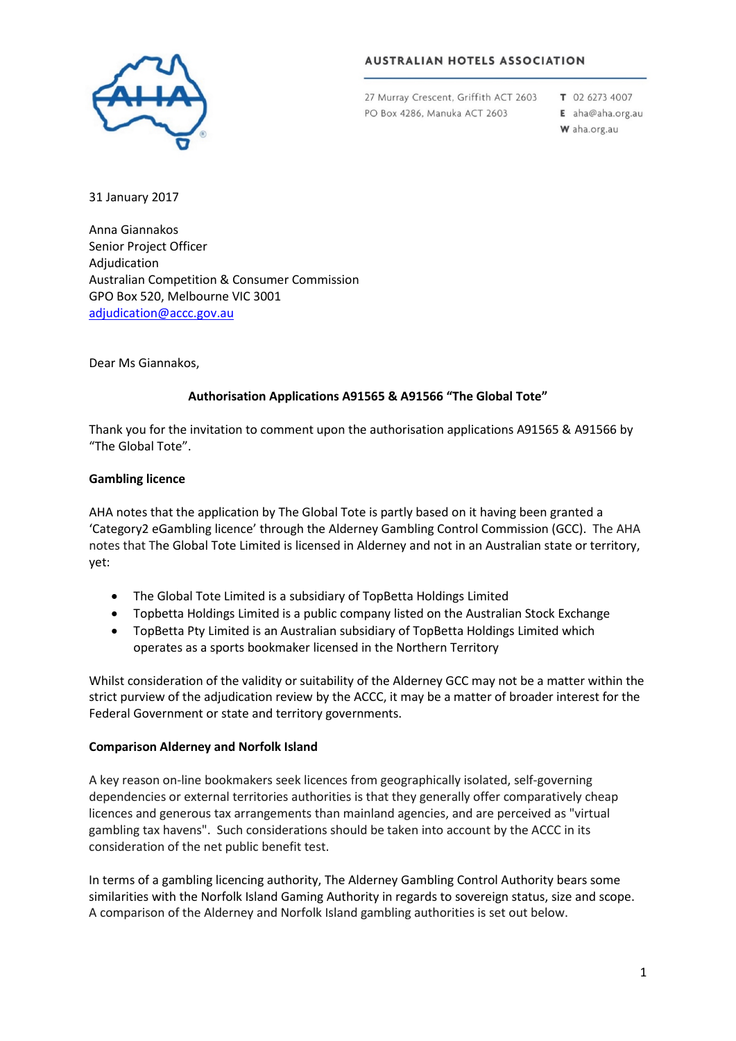

# **AUSTRALIAN HOTELS ASSOCIATION**

27 Murray Crescent, Griffith ACT 2603 PO Box 4286, Manuka ACT 2603

T 02 6273 4007 E aha@aha.org.au

W aha.org.au

31 January 2017

Anna Giannakos Senior Project Officer Adjudication Australian Competition & Consumer Commission GPO Box 520, Melbourne VIC 3001 [adjudication@accc.gov.au](mailto:adjudication@accc.gov.au)

Dear Ms Giannakos,

# **Authorisation Applications A91565 & A91566 "The Global Tote"**

Thank you for the invitation to comment upon the authorisation applications A91565 & A91566 by "The Global Tote".

### **Gambling licence**

AHA notes that the application by The Global Tote is partly based on it having been granted a 'Category2 eGambling licence' through the Alderney Gambling Control Commission (GCC). The AHA notes that The Global Tote Limited is licensed in Alderney and not in an Australian state or territory, yet:

- The Global Tote Limited is a subsidiary of TopBetta Holdings Limited
- Topbetta Holdings Limited is a public company listed on the Australian Stock Exchange
- TopBetta Pty Limited is an Australian subsidiary of TopBetta Holdings Limited which operates as a sports bookmaker licensed in the Northern Territory

Whilst consideration of the validity or suitability of the Alderney GCC may not be a matter within the strict purview of the adjudication review by the ACCC, it may be a matter of broader interest for the Federal Government or state and territory governments.

#### **Comparison Alderney and Norfolk Island**

A key reason on-line bookmakers seek licences from geographically isolated, self-governing dependencies or external territories authorities is that they generally offer comparatively cheap licences and generous tax arrangements than mainland agencies, and are perceived as "virtual gambling tax havens". Such considerations should be taken into account by the ACCC in its consideration of the net public benefit test.

In terms of a gambling licencing authority, The Alderney Gambling Control Authority bears some similarities with the Norfolk Island Gaming Authority in regards to sovereign status, size and scope. A comparison of the Alderney and Norfolk Island gambling authorities is set out below.